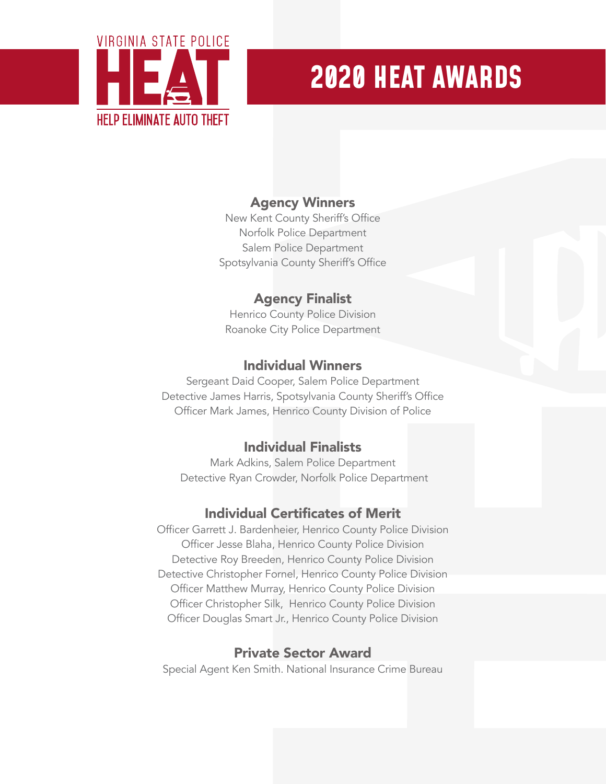

# **2020 HEAT AWARDS**

## Agency Winners

New Kent County Sheriff's Office Norfolk Police Department Salem Police Department Spotsylvania County Sheriff's Office

## Agency Finalist

Henrico County Police Division Roanoke City Police Department

#### Individual Winners

Sergeant Daid Cooper, Salem Police Department Detective James Harris, Spotsylvania County Sheriff's Office Officer Mark James, Henrico County Division of Police

### Individual Finalists

Mark Adkins, Salem Police Department Detective Ryan Crowder, Norfolk Police Department

### Individual Certificates of Merit

Officer Garrett J. Bardenheier, Henrico County Police Division Officer Jesse Blaha, Henrico County Police Division Detective Roy Breeden, Henrico County Police Division Detective Christopher Fornel, Henrico County Police Division Officer Matthew Murray, Henrico County Police Division Officer Christopher Silk, Henrico County Police Division Officer Douglas Smart Jr., Henrico County Police Division

### Private Sector Award

Special Agent Ken Smith. National Insurance Crime Bureau